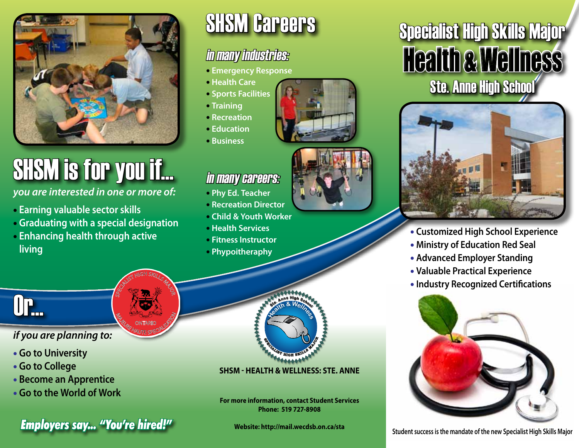

# SHSM is for you if...

*you are interested in one or more of:* 

- • **Earning valuable sector skills**
- • **Graduating with a special designation**

SPECIALIST HIGH SKILLS MAJOR

**MAGE CONTARIO SPECIALIS** ONTARIO

• **Enhancing health through active living**

# SHSM Careers

### in many industries:

- **Emergency Response**
- **Health Care**
- **Sports Facilities**
- **Training**
- **Recreation**
- **Education**
- **Business**



### in many careers:

- **Phy Ed. Teacher**
- **Recreation Director**
- **Child & Youth Worker**
- **Health Services**
- **Fitness Instructor**
- **Phypoitheraphy**

Or...

#### *if you are planning to:*

- **Go to University**
- **Go to College**
- **Become an Apprentice**
- **Go to the World of Work**

**Figures say... "You're hired!"** Website: http://mail.wecdsb.on.ca/sta Student success is the mandate of the new Specialist High Skills Major

#### **<sup>S</sup>PECIALIS<sup>T</sup> <sup>H</sup>IG<sup>H</sup> <sup>S</sup>KILL<sup>S</sup> <sup>M</sup>AJ<sup>O</sup> SP RPARTIES AND READ PROPERTY AND READ PROPERTY. <sup>H</sup>ealt<sup>h</sup> & <sup>W</sup>ellness**

#### **SHSM - Health & Wellness: Ste. Anne**

**For more information, contact Student Services Phone: 519 727-8908**

**Website: http://mail.wecdsb.on.ca/sta**

## Specialist High Skills Major **Health & Wellness** Ste. Anne High School



- **Customized High School Experience**
- **Ministry of Education Red Seal**
- **Advanced Employer Standing**
- **Valuable Practical Experience**
- **Industry Recognized Certifications**